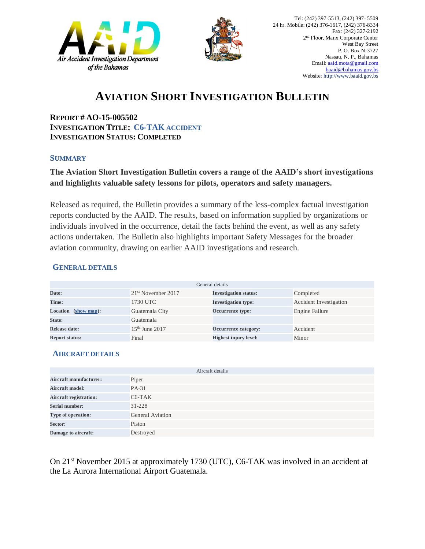



# **AVIATION SHORT INVESTIGATION BULLETIN**

**REPORT # AO-15-005502 INVESTIGATION TITLE: C6-TAK ACCIDENT INVESTIGATION STATUS: COMPLETED** 

#### **SUMMARY**

### **The Aviation Short Investigation Bulletin covers a range of the AAID's short investigations and highlights valuable safety lessons for pilots, operators and safety managers.**

Released as required, the Bulletin provides a summary of the less-complex factual investigation reports conducted by the AAID. The results, based on information supplied by organizations or individuals involved in the occurrence, detail the facts behind the event, as well as any safety actions undertaken. The Bulletin also highlights important Safety Messages for the broader aviation community, drawing on earlier AAID investigations and research.

#### **GENERAL DETAILS**

| General details       |                                |                              |                               |
|-----------------------|--------------------------------|------------------------------|-------------------------------|
| Date:                 | 21 <sup>st</sup> November 2017 | <b>Investigation status:</b> | Completed                     |
| Time:                 | 1730 UTC                       | <b>Investigation type:</b>   | <b>Accident Investigation</b> |
| Location (show map):  | Guatemala City                 | Occurrence type:             | Engine Failure                |
| State:                | Guatemala                      |                              |                               |
| Release date:         | $15th$ June 2017               | Occurrence category:         | Accident                      |
| <b>Report status:</b> | Final                          | <b>Highest injury level:</b> | Minor                         |

#### **AIRCRAFT DETAILS**

| Aircraft details              |                  |  |  |
|-------------------------------|------------------|--|--|
| Aircraft manufacturer:        | Piper            |  |  |
| <b>Aircraft model:</b>        | PA-31            |  |  |
| <b>Aircraft registration:</b> | $C6-TAK$         |  |  |
| <b>Serial number:</b>         | $31 - 228$       |  |  |
| Type of operation:            | General Aviation |  |  |
| Sector:                       | Piston           |  |  |
| Damage to aircraft:           | Destroyed        |  |  |

On 21<sup>st</sup> November 2015 at approximately 1730 (UTC), C6-TAK was involved in an accident at the La Aurora International Airport Guatemala.